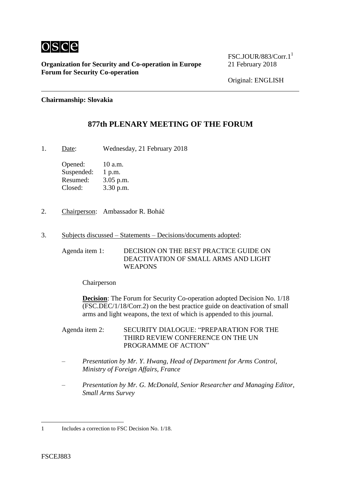

**Organization for Security and Co-operation in Europe** 21 February 2018 **Forum for Security Co-operation**

FSC.JOUR/883/Corr.1 1

Original: ENGLISH

**Chairmanship: Slovakia**

# **877th PLENARY MEETING OF THE FORUM**

1. Date: Wednesday, 21 February 2018

Opened: 10 a.m. Suspended: 1 p.m. Resumed: 3.05 p.m. Closed: 3.30 p.m.

- 2. Chairperson: Ambassador R. Boháč
- 3. Subjects discussed Statements Decisions/documents adopted:

Agenda item 1: DECISION ON THE BEST PRACTICE GUIDE ON DEACTIVATION OF SMALL ARMS AND LIGHT WEAPONS

Chairperson

**Decision:** The Forum for Security Co-operation adopted Decision No. 1/18 (FSC.DEC/1/18/Corr.2) on the best practice guide on deactivation of small arms and light weapons, the text of which is appended to this journal.

Agenda item 2: SECURITY DIALOGUE: "PREPARATION FOR THE THIRD REVIEW CONFERENCE ON THE UN PROGRAMME OF ACTION"

- *Presentation by Mr. Y. Hwang, Head of Department for Arms Control, Ministry of Foreign Affairs, France*
- *Presentation by Mr. G. McDonald, Senior Researcher and Managing Editor, Small Arms Survey*

1

<sup>1</sup> Includes a correction to FSC Decision No. 1/18.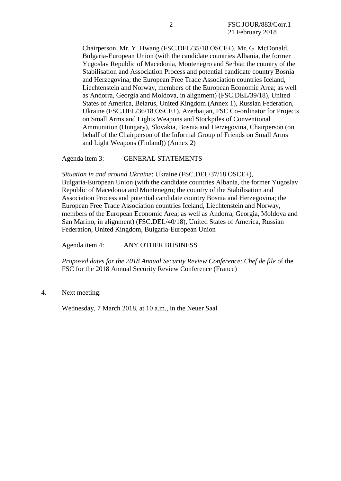Chairperson, Mr. Y. Hwang (FSC.DEL/35/18 OSCE+), Mr. G. McDonald, Bulgaria-European Union (with the candidate countries Albania, the former Yugoslav Republic of Macedonia, Montenegro and Serbia; the country of the Stabilisation and Association Process and potential candidate country Bosnia and Herzegovina; the European Free Trade Association countries Iceland, Liechtenstein and Norway, members of the European Economic Area; as well as Andorra, Georgia and Moldova, in alignment) (FSC.DEL/39/18), United States of America, Belarus, United Kingdom (Annex 1), Russian Federation, Ukraine (FSC.DEL/36/18 OSCE+), Azerbaijan, FSC Co-ordinator for Projects on Small Arms and Lights Weapons and Stockpiles of Conventional Ammunition (Hungary), Slovakia, Bosnia and Herzegovina, Chairperson (on behalf of the Chairperson of the Informal Group of Friends on Small Arms and Light Weapons (Finland)) (Annex 2)

Agenda item 3: GENERAL STATEMENTS

*Situation in and around Ukraine*: Ukraine (FSC.DEL/37/18 OSCE+), Bulgaria-European Union (with the candidate countries Albania, the former Yugoslav Republic of Macedonia and Montenegro; the country of the Stabilisation and Association Process and potential candidate country Bosnia and Herzegovina; the European Free Trade Association countries Iceland, Liechtenstein and Norway, members of the European Economic Area; as well as Andorra, Georgia, Moldova and San Marino, in alignment) (FSC.DEL/40/18), United States of America, Russian Federation, United Kingdom, Bulgaria-European Union

Agenda item 4: ANY OTHER BUSINESS

*Proposed dates for the 2018 Annual Security Review Conference*: *Chef de file* of the FSC for the 2018 Annual Security Review Conference (France)

4. Next meeting:

Wednesday, 7 March 2018, at 10 a.m., in the Neuer Saal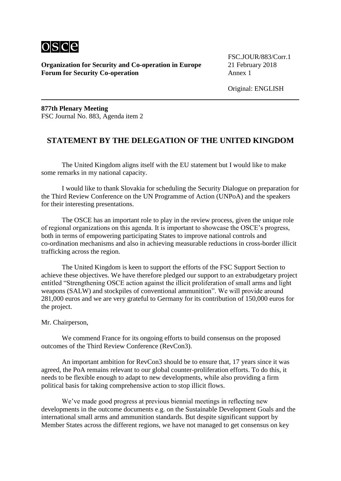

**Organization for Security and Co-operation in Europe** 21 February 2018 **Forum for Security Co-operation** Annex 1

FSC.JOUR/883/Corr.1

Original: ENGLISH

**877th Plenary Meeting** FSC Journal No. 883, Agenda item 2

## **STATEMENT BY THE DELEGATION OF THE UNITED KINGDOM**

The United Kingdom aligns itself with the EU statement but I would like to make some remarks in my national capacity.

I would like to thank Slovakia for scheduling the Security Dialogue on preparation for the Third Review Conference on the UN Programme of Action (UNPoA) and the speakers for their interesting presentations.

The OSCE has an important role to play in the review process, given the unique role of regional organizations on this agenda. It is important to showcase the OSCE's progress, both in terms of empowering participating States to improve national controls and co-ordination mechanisms and also in achieving measurable reductions in cross-border illicit trafficking across the region.

The United Kingdom is keen to support the efforts of the FSC Support Section to achieve these objectives. We have therefore pledged our support to an extrabudgetary project entitled "Strengthening OSCE action against the illicit proliferation of small arms and light weapons (SALW) and stockpiles of conventional ammunition". We will provide around 281,000 euros and we are very grateful to Germany for its contribution of 150,000 euros for the project.

#### Mr. Chairperson,

We commend France for its ongoing efforts to build consensus on the proposed outcomes of the Third Review Conference (RevCon3).

An important ambition for RevCon3 should be to ensure that, 17 years since it was agreed, the PoA remains relevant to our global counter-proliferation efforts. To do this, it needs to be flexible enough to adapt to new developments, while also providing a firm political basis for taking comprehensive action to stop illicit flows.

We've made good progress at previous biennial meetings in reflecting new developments in the outcome documents e.g. on the Sustainable Development Goals and the international small arms and ammunition standards. But despite significant support by Member States across the different regions, we have not managed to get consensus on key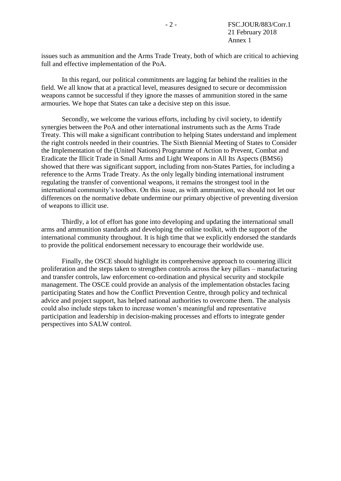issues such as ammunition and the Arms Trade Treaty, both of which are critical to achieving full and effective implementation of the PoA.

In this regard, our political commitments are lagging far behind the realities in the field. We all know that at a practical level, measures designed to secure or decommission weapons cannot be successful if they ignore the masses of ammunition stored in the same armouries. We hope that States can take a decisive step on this issue.

Secondly, we welcome the various efforts, including by civil society, to identify synergies between the PoA and other international instruments such as the Arms Trade Treaty. This will make a significant contribution to helping States understand and implement the right controls needed in their countries. The Sixth Biennial Meeting of States to Consider the Implementation of the (United Nations) Programme of Action to Prevent, Combat and Eradicate the Illicit Trade in Small Arms and Light Weapons in All Its Aspects (BMS6) showed that there was significant support, including from non-States Parties, for including a reference to the Arms Trade Treaty. As the only legally binding international instrument regulating the transfer of conventional weapons, it remains the strongest tool in the international community's toolbox. On this issue, as with ammunition, we should not let our differences on the normative debate undermine our primary objective of preventing diversion of weapons to illicit use.

Thirdly, a lot of effort has gone into developing and updating the international small arms and ammunition standards and developing the online toolkit, with the support of the international community throughout. It is high time that we explicitly endorsed the standards to provide the political endorsement necessary to encourage their worldwide use.

Finally, the OSCE should highlight its comprehensive approach to countering illicit proliferation and the steps taken to strengthen controls across the key pillars – manufacturing and transfer controls, law enforcement co-ordination and physical security and stockpile management. The OSCE could provide an analysis of the implementation obstacles facing participating States and how the Conflict Prevention Centre, through policy and technical advice and project support, has helped national authorities to overcome them. The analysis could also include steps taken to increase women's meaningful and representative participation and leadership in decision-making processes and efforts to integrate gender perspectives into SALW control.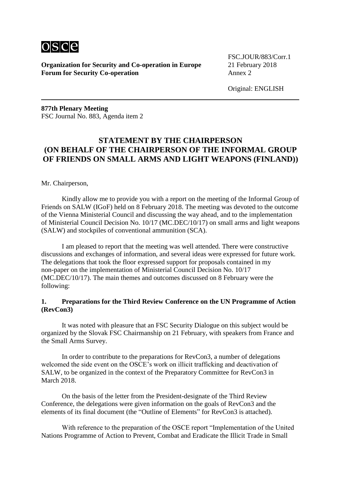

**Organization for Security and Co-operation in Europe** 21 February 2018 **Forum for Security Co-operation Annex 2** 

FSC.JOUR/883/Corr.1

Original: ENGLISH

**877th Plenary Meeting** FSC Journal No. 883, Agenda item 2

# **STATEMENT BY THE CHAIRPERSON (ON BEHALF OF THE CHAIRPERSON OF THE INFORMAL GROUP OF FRIENDS ON SMALL ARMS AND LIGHT WEAPONS (FINLAND))**

Mr. Chairperson,

Kindly allow me to provide you with a report on the meeting of the Informal Group of Friends on SALW (IGoF) held on 8 February 2018. The meeting was devoted to the outcome of the Vienna Ministerial Council and discussing the way ahead, and to the implementation of Ministerial Council Decision No. 10/17 (MC.DEC/10/17) on small arms and light weapons (SALW) and stockpiles of conventional ammunition (SCA).

I am pleased to report that the meeting was well attended. There were constructive discussions and exchanges of information, and several ideas were expressed for future work. The delegations that took the floor expressed support for proposals contained in my non-paper on the implementation of Ministerial Council Decision No. 10/17 (MC.DEC/10/17). The main themes and outcomes discussed on 8 February were the following:

#### **1. Preparations for the Third Review Conference on the UN Programme of Action (RevCon3)**

It was noted with pleasure that an FSC Security Dialogue on this subject would be organized by the Slovak FSC Chairmanship on 21 February, with speakers from France and the Small Arms Survey.

In order to contribute to the preparations for RevCon3, a number of delegations welcomed the side event on the OSCE's work on illicit trafficking and deactivation of SALW, to be organized in the context of the Preparatory Committee for RevCon3 in March 2018.

On the basis of the letter from the President-designate of the Third Review Conference, the delegations were given information on the goals of RevCon3 and the elements of its final document (the "Outline of Elements" for RevCon3 is attached).

With reference to the preparation of the OSCE report "Implementation of the United Nations Programme of Action to Prevent, Combat and Eradicate the Illicit Trade in Small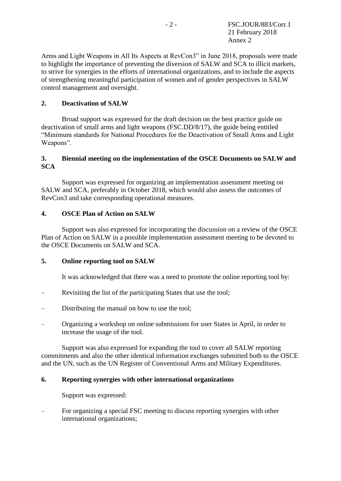Arms and Light Weapons in All Its Aspects at RevCon3" in June 2018, proposals were made to highlight the importance of preventing the diversion of SALW and SCA to illicit markets, to strive for synergies in the efforts of international organizations, and to include the aspects of strengthening meaningful participation of women and of gender perspectives in SALW control management and oversight.

### **2. Deactivation of SALW**

Broad support was expressed for the draft decision on the best practice guide on deactivation of small arms and light weapons (FSC.DD/8/17), the guide being entitled "Minimum standards for National Procedures for the Deactivation of Small Arms and Light Weapons".

### **3. Biennial meeting on the implementation of the OSCE Documents on SALW and SCA**

Support was expressed for organizing an implementation assessment meeting on SALW and SCA, preferably in October 2018, which would also assess the outcomes of RevCon3 and take corresponding operational measures.

### **4. OSCE Plan of Action on SALW**

Support was also expressed for incorporating the discussion on a review of the OSCE Plan of Action on SALW in a possible implementation assessment meeting to be devoted to the OSCE Documents on SALW and SCA.

### **5. Online reporting tool on SALW**

It was acknowledged that there was a need to promote the online reporting tool by:

- Revisiting the list of the participating States that use the tool;
- Distributing the manual on how to use the tool;
- Organizing a workshop on online submissions for user States in April, in order to increase the usage of the tool.

Support was also expressed for expanding the tool to cover all SALW reporting commitments and also the other identical information exchanges submitted both to the OSCE and the UN, such as the UN Register of Conventional Arms and Military Expenditures.

### **6. Reporting synergies with other international organizations**

Support was expressed:

– For organizing a special FSC meeting to discuss reporting synergies with other international organizations;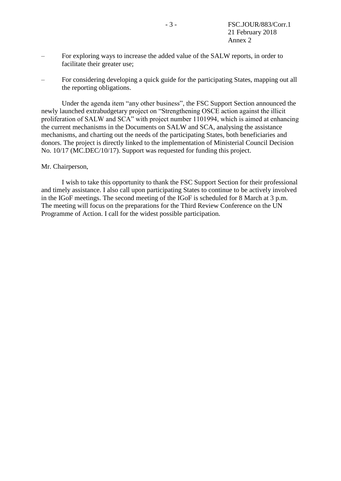- For exploring ways to increase the added value of the SALW reports, in order to facilitate their greater use;
- For considering developing a quick guide for the participating States, mapping out all the reporting obligations.

Under the agenda item "any other business", the FSC Support Section announced the newly launched extrabudgetary project on "Strengthening OSCE action against the illicit proliferation of SALW and SCA" with project number 1101994, which is aimed at enhancing the current mechanisms in the Documents on SALW and SCA, analysing the assistance mechanisms, and charting out the needs of the participating States, both beneficiaries and donors. The project is directly linked to the implementation of Ministerial Council Decision No. 10/17 (MC.DEC/10/17). Support was requested for funding this project.

#### Mr. Chairperson,

I wish to take this opportunity to thank the FSC Support Section for their professional and timely assistance. I also call upon participating States to continue to be actively involved in the IGoF meetings. The second meeting of the IGoF is scheduled for 8 March at 3 p.m. The meeting will focus on the preparations for the Third Review Conference on the UN Programme of Action. I call for the widest possible participation.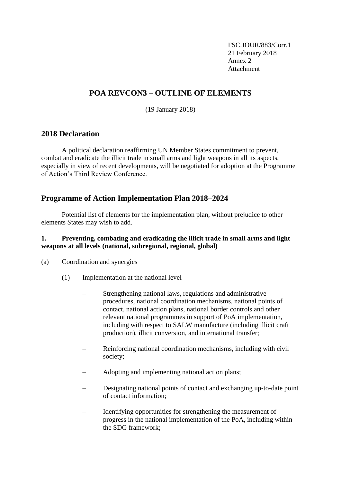FSC.JOUR/883/Corr.1 21 February 2018 Annex 2 Attachment

# **POA REVCON3 – OUTLINE OF ELEMENTS**

(19 January 2018)

## **2018 Declaration**

A political declaration reaffirming UN Member States commitment to prevent, combat and eradicate the illicit trade in small arms and light weapons in all its aspects, especially in view of recent developments, will be negotiated for adoption at the Programme of Action's Third Review Conference.

# **Programme of Action Implementation Plan 2018–2024**

Potential list of elements for the implementation plan, without prejudice to other elements States may wish to add.

### **1. Preventing, combating and eradicating the illicit trade in small arms and light weapons at all levels (national, subregional, regional, global)**

- (a) Coordination and synergies
	- (1) Implementation at the national level
		- Strengthening national laws, regulations and administrative procedures, national coordination mechanisms, national points of contact, national action plans, national border controls and other relevant national programmes in support of PoA implementation, including with respect to SALW manufacture (including illicit craft production), illicit conversion, and international transfer;
		- Reinforcing national coordination mechanisms, including with civil society;
		- Adopting and implementing national action plans;
		- Designating national points of contact and exchanging up-to-date point of contact information;
		- Identifying opportunities for strengthening the measurement of progress in the national implementation of the PoA, including within the SDG framework;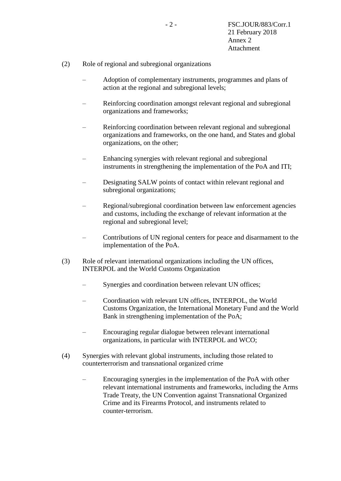- (2) Role of regional and subregional organizations
	- Adoption of complementary instruments, programmes and plans of action at the regional and subregional levels;
	- Reinforcing coordination amongst relevant regional and subregional organizations and frameworks;
	- Reinforcing coordination between relevant regional and subregional organizations and frameworks, on the one hand, and States and global organizations, on the other;
	- Enhancing synergies with relevant regional and subregional instruments in strengthening the implementation of the PoA and ITI;
	- Designating SALW points of contact within relevant regional and subregional organizations;
	- Regional/subregional coordination between law enforcement agencies and customs, including the exchange of relevant information at the regional and subregional level;
	- Contributions of UN regional centers for peace and disarmament to the implementation of the PoA.
- (3) Role of relevant international organizations including the UN offices, INTERPOL and the World Customs Organization
	- Synergies and coordination between relevant UN offices;
	- Coordination with relevant UN offices, INTERPOL, the World Customs Organization, the International Monetary Fund and the World Bank in strengthening implementation of the PoA;
	- Encouraging regular dialogue between relevant international organizations, in particular with INTERPOL and WCO;
- (4) Synergies with relevant global instruments, including those related to counterterrorism and transnational organized crime
	- Encouraging synergies in the implementation of the PoA with other relevant international instruments and frameworks, including the Arms Trade Treaty, the UN Convention against Transnational Organized Crime and its Firearms Protocol, and instruments related to counter-terrorism.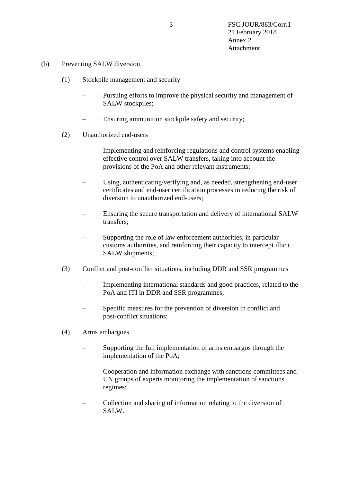- (b) Preventing SALW diversion
	- (1) Stockpile management and security
		- Pursuing efforts to improve the physical security and management of SALW stockpiles;
		- Ensuring ammunition stockpile safety and security;
	- (2) Unauthorized end-users
		- Implementing and reinforcing regulations and control systems enabling effective control over SALW transfers, taking into account the provisions of the PoA and other relevant instruments;
		- Using, authenticating/verifying and, as needed, strengthening end-user certificates and end-user certification processes in reducing the risk of diversion to unauthorized end-users;
		- Ensuring the secure transportation and delivery of international SALW transfers;
		- Supporting the role of law enforcement authorities, in particular customs authorities, and reinforcing their capacity to intercept illicit SALW shipments;
	- (3) Conflict and post-conflict situations, including DDR and SSR programmes
		- Implementing international standards and good practices, related to the PoA and ITI in DDR and SSR programmes;
		- Specific measures for the prevention of diversion in conflict and post-conflict situations;
	- (4) Arms embargoes
		- Supporting the full implementation of arms embargos through the implementation of the PoA;
		- Cooperation and information exchange with sanctions committees and UN groups of experts monitoring the implementation of sanctions regimes;
		- Collection and sharing of information relating to the diversion of SALW.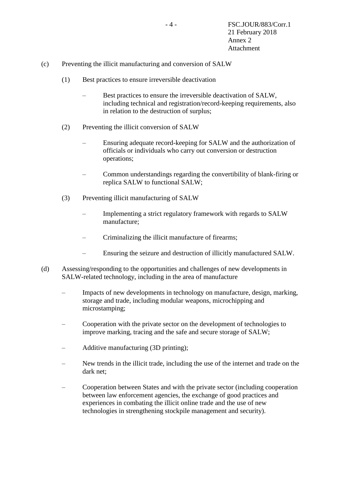- (c) Preventing the illicit manufacturing and conversion of SALW
	- (1) Best practices to ensure irreversible deactivation
		- Best practices to ensure the irreversible deactivation of SALW, including technical and registration/record-keeping requirements, also in relation to the destruction of surplus;
	- (2) Preventing the illicit conversion of SALW
		- Ensuring adequate record-keeping for SALW and the authorization of officials or individuals who carry out conversion or destruction operations;
		- Common understandings regarding the convertibility of blank-firing or replica SALW to functional SALW;
	- (3) Preventing illicit manufacturing of SALW
		- Implementing a strict regulatory framework with regards to SALW manufacture;
		- Criminalizing the illicit manufacture of firearms;
		- Ensuring the seizure and destruction of illicitly manufactured SALW.
- (d) Assessing/responding to the opportunities and challenges of new developments in SALW-related technology, including in the area of manufacture
	- Impacts of new developments in technology on manufacture, design, marking, storage and trade, including modular weapons, microchipping and microstamping;
	- Cooperation with the private sector on the development of technologies to improve marking, tracing and the safe and secure storage of SALW;
	- Additive manufacturing (3D printing);
	- New trends in the illicit trade, including the use of the internet and trade on the dark net;
	- Cooperation between States and with the private sector (including cooperation between law enforcement agencies, the exchange of good practices and experiences in combating the illicit online trade and the use of new technologies in strengthening stockpile management and security).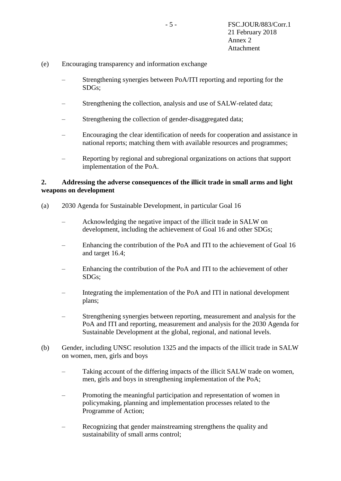- (e) Encouraging transparency and information exchange
	- Strengthening synergies between PoA/ITI reporting and reporting for the SDGs;
	- Strengthening the collection, analysis and use of SALW-related data;
	- Strengthening the collection of gender-disaggregated data;
	- Encouraging the clear identification of needs for cooperation and assistance in national reports; matching them with available resources and programmes;
	- Reporting by regional and subregional organizations on actions that support implementation of the PoA.

#### **2. Addressing the adverse consequences of the illicit trade in small arms and light weapons on development**

- (a) 2030 Agenda for Sustainable Development, in particular Goal 16
	- Acknowledging the negative impact of the illicit trade in SALW on development, including the achievement of Goal 16 and other SDGs;
	- Enhancing the contribution of the PoA and ITI to the achievement of Goal 16 and target 16.4;
	- Enhancing the contribution of the PoA and ITI to the achievement of other SDGs;
	- Integrating the implementation of the PoA and ITI in national development plans;
	- Strengthening synergies between reporting, measurement and analysis for the PoA and ITI and reporting, measurement and analysis for the 2030 Agenda for Sustainable Development at the global, regional, and national levels.
- (b) Gender, including UNSC resolution 1325 and the impacts of the illicit trade in SALW on women, men, girls and boys
	- Taking account of the differing impacts of the illicit SALW trade on women, men, girls and boys in strengthening implementation of the PoA;
	- Promoting the meaningful participation and representation of women in policymaking, planning and implementation processes related to the Programme of Action;
	- Recognizing that gender mainstreaming strengthens the quality and sustainability of small arms control;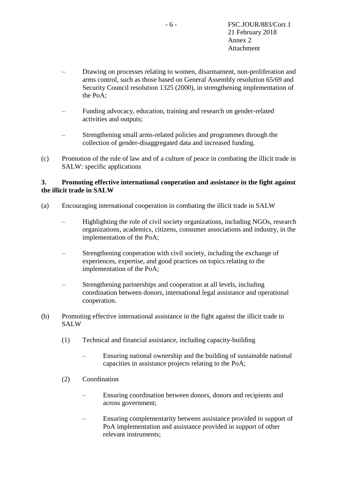- Drawing on processes relating to women, disarmament, non-proliferation and arms control, such as those based on General Assembly resolution 65/69 and Security Council resolution 1325 (2000), in strengthening implementation of the PoA;
- Funding advocacy, education, training and research on gender-related activities and outputs;
- Strengthening small arms-related policies and programmes through the collection of gender-disaggregated data and increased funding.
- (c) Promotion of the rule of law and of a culture of peace in combating the illicit trade in SALW: specific applications

### **3. Promoting effective international cooperation and assistance in the fight against the illicit trade in SALW**

- (a) Encouraging international cooperation in combating the illicit trade in SALW
	- Highlighting the role of civil society organizations, including NGOs, research organizations, academics, citizens, consumer associations and industry, in the implementation of the PoA;
	- Strengthening cooperation with civil society, including the exchange of experiences, expertise, and good practices on topics relating to the implementation of the PoA;
	- Strengthening partnerships and cooperation at all levels, including coordination between donors, international legal assistance and operational cooperation.
- (b) Promoting effective international assistance in the fight against the illicit trade in SALW
	- (1) Technical and financial assistance, including capacity-building
		- Ensuring national ownership and the building of sustainable national capacities in assistance projects relating to the PoA;
	- (2) Coordination
		- Ensuring coordination between donors, donors and recipients and across government;
		- Ensuring complementarity between assistance provided in support of PoA implementation and assistance provided in support of other relevant instruments;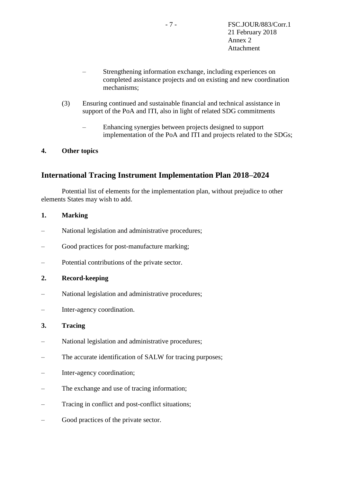- Strengthening information exchange, including experiences on completed assistance projects and on existing and new coordination mechanisms;
- (3) Ensuring continued and sustainable financial and technical assistance in support of the PoA and ITI, also in light of related SDG commitments
	- Enhancing synergies between projects designed to support implementation of the PoA and ITI and projects related to the SDGs;

### **4. Other topics**

## **International Tracing Instrument Implementation Plan 2018–2024**

Potential list of elements for the implementation plan, without prejudice to other elements States may wish to add.

#### **1. Marking**

- National legislation and administrative procedures;
- Good practices for post-manufacture marking;
- Potential contributions of the private sector.

### **2. Record-keeping**

- National legislation and administrative procedures;
- Inter-agency coordination.

#### **3. Tracing**

- National legislation and administrative procedures;
- The accurate identification of SALW for tracing purposes;
- Inter-agency coordination;
- The exchange and use of tracing information;
- Tracing in conflict and post-conflict situations;
- Good practices of the private sector.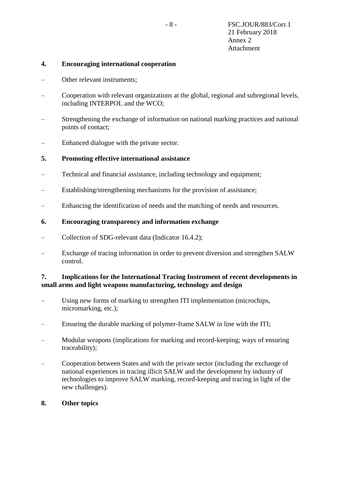#### **4. Encouraging international cooperation**

- Other relevant instruments;
- Cooperation with relevant organizations at the global, regional and subregional levels, including INTERPOL and the WCO;
- Strengthening the exchange of information on national marking practices and national points of contact;
- Enhanced dialogue with the private sector.

#### **5. Promoting effective international assistance**

- Technical and financial assistance, including technology and equipment;
- Establishing/strengthening mechanisms for the provision of assistance;
- Enhancing the identification of needs and the matching of needs and resources.

#### **6. Encouraging transparency and information exchange**

- Collection of SDG-relevant data (Indicator 16.4.2);
- Exchange of tracing information in order to prevent diversion and strengthen SALW control.

#### **7. Implications for the International Tracing Instrument of recent developments in small arms and light weapons manufacturing, technology and design**

- Using new forms of marking to strengthen ITI implementation (microchips, micromarking, etc.);
- Ensuring the durable marking of polymer-frame SALW in line with the ITI;
- Modular weapons (implications for marking and record-keeping; ways of ensuring traceability);
- Cooperation between States and with the private sector (including the exchange of national experiences in tracing illicit SALW and the development by industry of technologies to improve SALW marking, record-keeping and tracing in light of the new challenges).

#### **8. Other topics**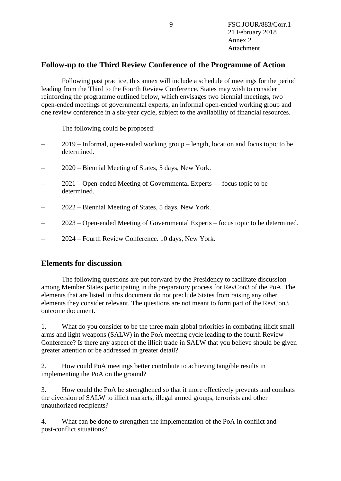# **Follow-up to the Third Review Conference of the Programme of Action**

Following past practice, this annex will include a schedule of meetings for the period leading from the Third to the Fourth Review Conference. States may wish to consider reinforcing the programme outlined below, which envisages two biennial meetings, two open-ended meetings of governmental experts, an informal open-ended working group and one review conference in a six-year cycle, subject to the availability of financial resources.

The following could be proposed:

- 2019 Informal, open-ended working group length, location and focus topic to be determined.
- 2020 Biennial Meeting of States, 5 days, New York.
- 2021 Open-ended Meeting of Governmental Experts focus topic to be determined.
- 2022 Biennial Meeting of States, 5 days. New York.
- 2023 Open-ended Meeting of Governmental Experts focus topic to be determined.
- 2024 Fourth Review Conference. 10 days, New York.

## **Elements for discussion**

The following questions are put forward by the Presidency to facilitate discussion among Member States participating in the preparatory process for RevCon3 of the PoA. The elements that are listed in this document do not preclude States from raising any other elements they consider relevant. The questions are not meant to form part of the RevCon3 outcome document.

1. What do you consider to be the three main global priorities in combating illicit small arms and light weapons (SALW) in the PoA meeting cycle leading to the fourth Review Conference? Is there any aspect of the illicit trade in SALW that you believe should be given greater attention or be addressed in greater detail?

2. How could PoA meetings better contribute to achieving tangible results in implementing the PoA on the ground?

3. How could the PoA be strengthened so that it more effectively prevents and combats the diversion of SALW to illicit markets, illegal armed groups, terrorists and other unauthorized recipients?

4. What can be done to strengthen the implementation of the PoA in conflict and post-conflict situations?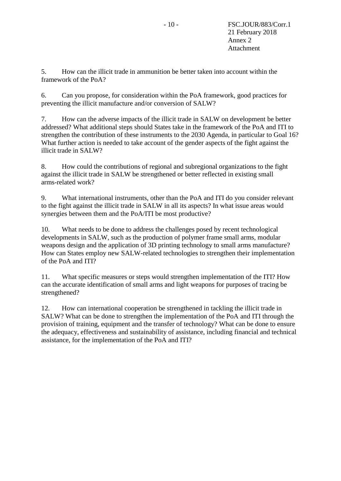5. How can the illicit trade in ammunition be better taken into account within the framework of the PoA?

6. Can you propose, for consideration within the PoA framework, good practices for preventing the illicit manufacture and/or conversion of SALW?

7. How can the adverse impacts of the illicit trade in SALW on development be better addressed? What additional steps should States take in the framework of the PoA and ITI to strengthen the contribution of these instruments to the 2030 Agenda, in particular to Goal 16? What further action is needed to take account of the gender aspects of the fight against the illicit trade in SALW?

8. How could the contributions of regional and subregional organizations to the fight against the illicit trade in SALW be strengthened or better reflected in existing small arms-related work?

9. What international instruments, other than the PoA and ITI do you consider relevant to the fight against the illicit trade in SALW in all its aspects? In what issue areas would synergies between them and the PoA/ITI be most productive?

10. What needs to be done to address the challenges posed by recent technological developments in SALW, such as the production of polymer frame small arms, modular weapons design and the application of 3D printing technology to small arms manufacture? How can States employ new SALW-related technologies to strengthen their implementation of the PoA and ITI?

11. What specific measures or steps would strengthen implementation of the ITI? How can the accurate identification of small arms and light weapons for purposes of tracing be strengthened?

12. How can international cooperation be strengthened in tackling the illicit trade in SALW? What can be done to strengthen the implementation of the PoA and ITI through the provision of training, equipment and the transfer of technology? What can be done to ensure the adequacy, effectiveness and sustainability of assistance, including financial and technical assistance, for the implementation of the PoA and ITI?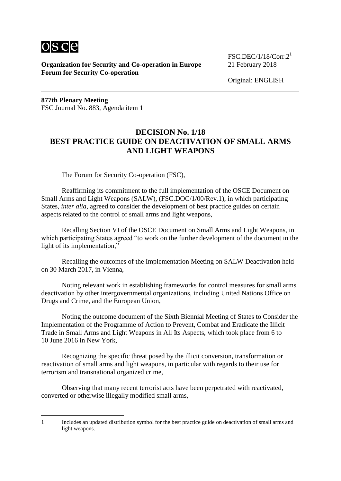

**Organization for Security and Co-operation in Europe** 21 February 2018 **Forum for Security Co-operation**

FSC.DEC/1/18/Corr. $2^1$ 

Original: ENGLISH

**877th Plenary Meeting** FSC Journal No. 883, Agenda item 1

# **DECISION No. 1/18 BEST PRACTICE GUIDE ON DEACTIVATION OF SMALL ARMS AND LIGHT WEAPONS**

The Forum for Security Co-operation (FSC),

Reaffirming its commitment to the full implementation of the OSCE Document on Small Arms and Light Weapons (SALW), (FSC.DOC/1/00/Rev.1), in which participating States, *inter alia*, agreed to consider the development of best practice guides on certain aspects related to the control of small arms and light weapons,

Recalling Section VI of the OSCE Document on Small Arms and Light Weapons, in which participating States agreed "to work on the further development of the document in the light of its implementation,"

Recalling the outcomes of the Implementation Meeting on SALW Deactivation held on 30 March 2017, in Vienna,

Noting relevant work in establishing frameworks for control measures for small arms deactivation by other intergovernmental organizations, including United Nations Office on Drugs and Crime, and the European Union,

Noting the outcome document of the Sixth Biennial Meeting of States to Consider the Implementation of the Programme of Action to Prevent, Combat and Eradicate the Illicit Trade in Small Arms and Light Weapons in All Its Aspects, which took place from 6 to 10 June 2016 in New York,

Recognizing the specific threat posed by the illicit conversion, transformation or reactivation of small arms and light weapons, in particular with regards to their use for terrorism and transnational organized crime,

Observing that many recent terrorist acts have been perpetrated with reactivated, converted or otherwise illegally modified small arms,

<u>.</u>

<sup>1</sup> Includes an updated distribution symbol for the best practice guide on deactivation of small arms and light weapons.